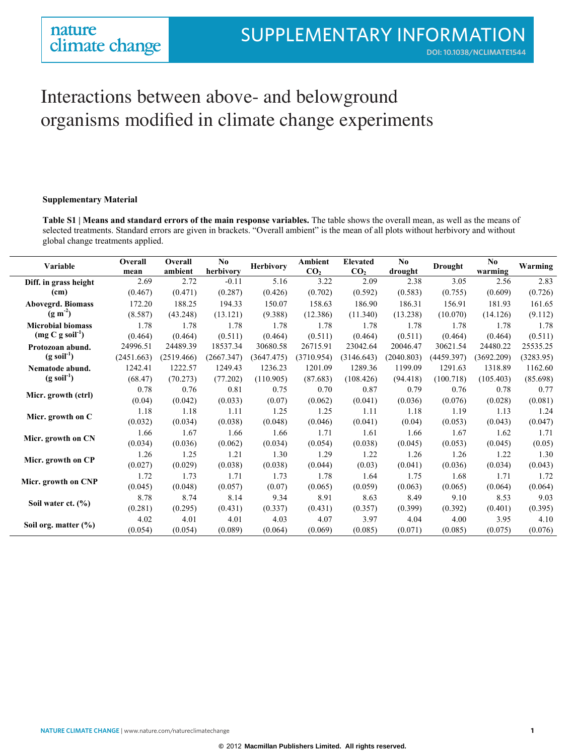## Interactions between above- and belowground organisms modified in climate change experiments

## **Supplementary Material**

**Table S1 | Means and standard errors of the main response variables.** The table shows the overall mean, as well as the means of selected treatments. Standard errors are given in brackets. "Overall ambient" is the mean of all plots without herbivory and without global change treatments applied.

| Variable                 | Overall    | Overall    | No         | <b>Herbivory</b> | <b>Ambient</b>  | <b>Elevated</b> | $\bf No$   | <b>Drought</b> | N <sub>0</sub> | Warming   |
|--------------------------|------------|------------|------------|------------------|-----------------|-----------------|------------|----------------|----------------|-----------|
|                          | mean       | ambient    | herbivory  |                  | CO <sub>2</sub> | CO <sub>2</sub> | drought    |                | warming        |           |
| Diff. in grass height    | 2.69       | 2.72       | $-0.11$    | 5.16             | 3.22            | 2.09            | 2.38       | 3.05           | 2.56           | 2.83      |
| (cm)                     | (0.467)    | (0.471)    | (0.287)    | (0.426)          | (0.702)         | (0.592)         | (0.583)    | (0.755)        | (0.609)        | (0.726)   |
| <b>Abovegrd. Biomass</b> | 172.20     | 188.25     | 194.33     | 150.07           | 158.63          | 186.90          | 186.31     | 156.91         | 181.93         | 161.65    |
| $(g m-2)$                | (8.587)    | (43.248)   | (13.121)   | (9.388)          | (12.386)        | (11.340)        | (13.238)   | (10.070)       | (14.126)       | (9.112)   |
| <b>Microbial biomass</b> | 1.78       | 1.78       | 1.78       | 1.78             | 1.78            | 1.78            | 1.78       | 1.78           | 1.78           | 1.78      |
| $(mg C g soil-1)$        | (0.464)    | (0.464)    | (0.511)    | (0.464)          | (0.511)         | (0.464)         | (0.511)    | (0.464)        | (0.464)        | (0.511)   |
| Protozoan abund.         | 24996.51   | 24489.39   | 18537.34   | 30680.58         | 26715.91        | 23042.64        | 20046.47   | 30621.54       | 24480.22       | 25535.25  |
| $(g\,\text{soil}^{-1})$  | (2451.663) | (2519.466) | (2667.347) | (3647.475)       | (3710.954)      | (3146.643)      | (2040.803) | (4459.397)     | (3692.209)     | (3283.95) |
| Nematode abund.          | 1242.41    | 1222.57    | 1249.43    | 1236.23          | 1201.09         | 1289.36         | 1199.09    | 1291.63        | 1318.89        | 1162.60   |
| $(g\,\text{soil}^{-1})$  | (68.47)    | (70.273)   | (77.202)   | (110.905)        | (87.683)        | (108.426)       | (94.418)   | (100.718)      | (105.403)      | (85.698)  |
|                          | 0.78       | 0.76       | 0.81       | 0.75             | 0.70            | 0.87            | 0.79       | 0.76           | 0.78           | 0.77      |
| Micr. growth (ctrl)      | (0.04)     | (0.042)    | (0.033)    | (0.07)           | (0.062)         | (0.041)         | (0.036)    | (0.076)        | (0.028)        | (0.081)   |
|                          | 1.18       | 1.18       | 1.11       | 1.25             | 1.25            | 1.11            | 1.18       | 1.19           | 1.13           | 1.24      |
| Micr. growth on C        | (0.032)    | (0.034)    | (0.038)    | (0.048)          | (0.046)         | (0.041)         | (0.04)     | (0.053)        | (0.043)        | (0.047)   |
|                          | 1.66       | 1.67       | 1.66       | 1.66             | 1.71            | 1.61            | 1.66       | 1.67           | 1.62           | 1.71      |
| Micr. growth on CN       | (0.034)    | (0.036)    | (0.062)    | (0.034)          | (0.054)         | (0.038)         | (0.045)    | (0.053)        | (0.045)        | (0.05)    |
|                          | 1.26       | 1.25       | 1.21       | 1.30             | 1.29            | 1.22            | 1.26       | 1.26           | 1.22           | 1.30      |
| Micr. growth on CP       | (0.027)    | (0.029)    | (0.038)    | (0.038)          | (0.044)         | (0.03)          | (0.041)    | (0.036)        | (0.034)        | (0.043)   |
|                          | 1.72       | 1.73       | 1.71       | 1.73             | 1.78            | 1.64            | 1.75       | 1.68           | 1.71           | 1.72      |
| Micr. growth on CNP      | (0.045)    | (0.048)    | (0.057)    | (0.07)           | (0.065)         | (0.059)         | (0.063)    | (0.065)        | (0.064)        | (0.064)   |
|                          | 8.78       | 8.74       | 8.14       | 9.34             | 8.91            | 8.63            | 8.49       | 9.10           | 8.53           | 9.03      |
| Soil water ct. $(\% )$   | (0.281)    | (0.295)    | (0.431)    | (0.337)          | (0.431)         | (0.357)         | (0.399)    | (0.392)        | (0.401)        | (0.395)   |
|                          | 4.02       | 4.01       | 4.01       | 4.03             | 4.07            | 3.97            | 4.04       | 4.00           | 3.95           | 4.10      |
| Soil org. matter $(\% )$ | (0.054)    | (0.054)    | (0.089)    | (0.064)          | (0.069)         | (0.085)         | (0.071)    | (0.085)        | (0.075)        | (0.076)   |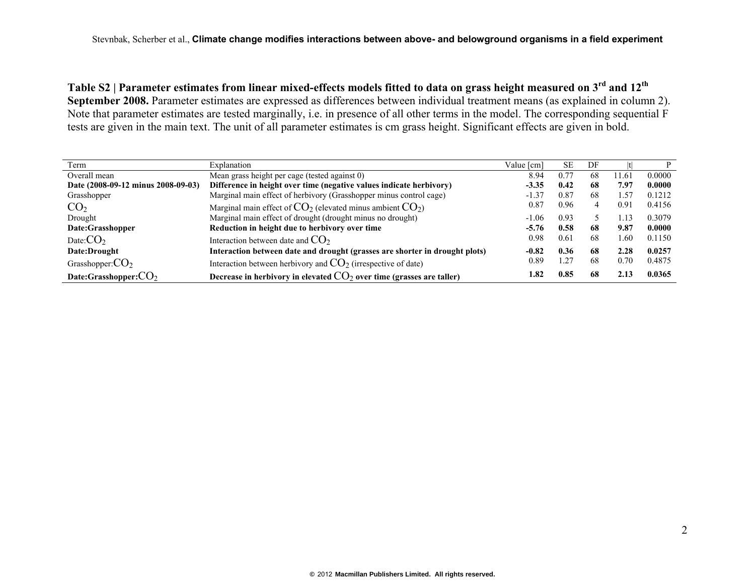**Table S2 | Parameter estimates from linear mixed-effects models fitted to data on grass height measured on 3rd and 12th September 2008.** Parameter estimates are expressed as differences between individual treatment means (as explained in column 2). Note that parameter estimates are tested marginally, i.e. in presence of all other terms in the model. The corresponding sequential F tests are given in the main text. The unit of all parameter estimates is cm grass height. Significant effects are given in bold.

| Term                               | Explanation                                                                 | Value [cm] | <b>SE</b> | DF |       | P      |
|------------------------------------|-----------------------------------------------------------------------------|------------|-----------|----|-------|--------|
| Overall mean                       | Mean grass height per cage (tested against 0)                               | 8.94       | 0.77      | 68 | 11.61 | 0.0000 |
| Date (2008-09-12 minus 2008-09-03) | Difference in height over time (negative values indicate herbivory)         | $-3.35$    | 0.42      | 68 | 7.97  | 0.0000 |
| Grasshopper                        | Marginal main effect of herbivory (Grasshopper minus control cage)          | $-1.37$    | 0.87      | 68 | l.57  | 0.1212 |
| CO <sub>2</sub>                    | Marginal main effect of $CO_2$ (elevated minus ambient $CO_2$ )             | 0.87       | 0.96      |    | 0.9   | 0.4156 |
| Drought                            | Marginal main effect of drought (drought minus no drought)                  | $-1.06$    | 0.93      |    |       | 0.3079 |
| Date:Grasshopper                   | Reduction in height due to herbivory over time                              | $-5.76$    | 0.58      | 68 | 9.87  | 0.0000 |
| Date: $CO2$                        | Interaction between date and $CO2$                                          | 0.98       | 0.61      | 68 | .60   | 0.1150 |
| Date:Drought                       | Interaction between date and drought (grasses are shorter in drought plots) | $-0.82$    | 0.36      | 68 | 2.28  | 0.0257 |
| Grasshopper: $CO2$                 | Interaction between herbivory and $CO2$ (irrespective of date)              | 0.89       | . 27      | 68 | 0.70  | 0.4875 |
| Date:Grasshopper: $CO2$            | Decrease in herbivory in elevated $CO2$ over time (grasses are taller)      | 1.82       | 0.85      | 68 | 2.13  | 0.0365 |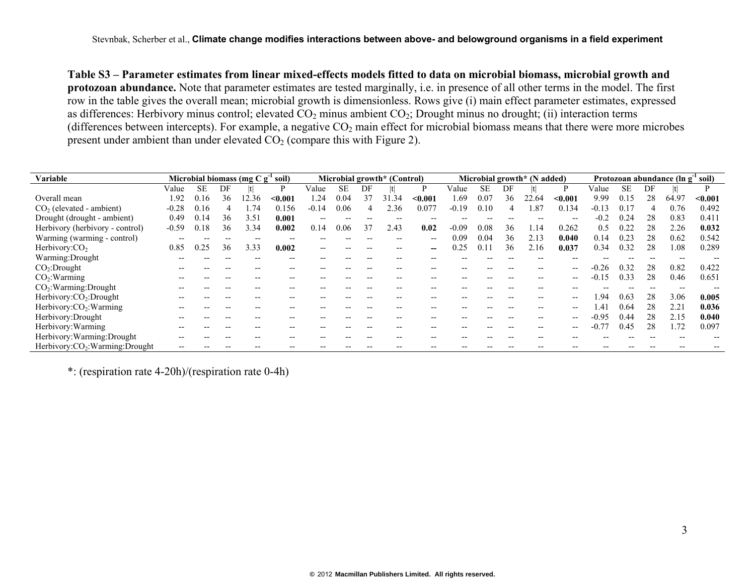**Table S3 – Parameter estimates from linear mixed-effects models fitted to data on microbial biomass, microbial growth and protozoan abundance.** Note that parameter estimates are tested marginally, i.e. in presence of all other terms in the model. The first row in the table gives the overall mean; microbial growth is dimensionless. Rows give (i) main effect parameter estimates, expressed as differences: Herbivory minus control; elevated  $CO<sub>2</sub>$  minus ambient  $CO<sub>2</sub>$ ; Drought minus no drought; (ii) interaction terms (differences between intercepts). For example, a negative  $CO<sub>2</sub>$  main effect for microbial biomass means that there were more microbes present under ambient than under elevated  $CO<sub>2</sub>$  (compare this with Figure 2).

| Variable                                   |         |           |    | Microbial biomass (mg $C g^{-1}$ | soil)   |         |           |    | Microbial growth* (Control) |                  |         |           |     | Microbial growth* (N added) |         |         |           |    | Protozoan abundance (ln g <sup>-1</sup> | soil)   |
|--------------------------------------------|---------|-----------|----|----------------------------------|---------|---------|-----------|----|-----------------------------|------------------|---------|-----------|-----|-----------------------------|---------|---------|-----------|----|-----------------------------------------|---------|
|                                            | Value   | <b>SE</b> | DF |                                  | D       | Value   | <b>SE</b> | DF |                             | D                | Value   | <b>SE</b> | DF  |                             | D       | Value   | <b>SE</b> | DF |                                         |         |
| Overall mean                               | 1.92    | 0.16      | 36 | 2.36                             | < 0.001 | 1.24    | 0.04      |    | .34                         | < 0.001          | . 69    | 0.07      | 36  | 22.64                       | $0.001$ | 9.99    | 0.15      | 28 | 64.97                                   | $0.001$ |
| $CO2$ (elevated - ambient)                 | $-0.28$ | 0.16      |    | .74                              | 0.156   | $-0.14$ | 0.06      |    | 2.36                        | 0.077            | $-0.19$ | 0.10      |     | 1.87                        | 0.134   | $-0.13$ | 0.17      |    | 0.76                                    | 0.492   |
| Drought (drought - ambient)                | 0.49    | 0.14      | 36 | $3.5^{\circ}$                    | 0.001   |         |           |    |                             |                  |         |           |     |                             |         | $-0.2$  | 0.24      | 28 | 0.83                                    | 0.411   |
| Herbivory (herbivory - control)            | $-0.59$ | 0.18      | 36 | 3.34                             | 0.002   | 0.14    | 0.06      | 37 | 2.43                        | 0.02             | $-0.09$ | 0.08      | 36  | 1.14                        | 0.262   | 0.5     | 0.22      | 28 | 2.26                                    | 0.032   |
| Warming (warming - control)                |         |           |    |                                  |         |         |           |    |                             | $- -$            | 0.09    | 0.04      | 36. | 2.13                        | 0.040   | 0.14    | 0.23      | 28 | 0.62                                    | 0.542   |
| Herbivory:CO <sub>2</sub>                  | 0.85    | 0.25      | 36 | 3.33                             | 0.002   |         |           |    |                             | $\hspace{0.5cm}$ | 0.25    | 0.1       | 36  | 2.16                        | 0.037   | 0.34    | 0.32      | 28 | 1.08                                    | 0.289   |
| Warming:Drought                            |         |           |    |                                  |         |         |           |    |                             |                  |         |           |     |                             |         |         |           |    |                                         |         |
| CO <sub>2</sub> :Drought                   |         |           |    |                                  |         |         |           |    |                             |                  |         |           |     |                             |         | ).26    | 0.32      | 28 | 0.82                                    | 0.422   |
| CO <sub>2</sub> :Warning                   |         |           |    |                                  |         |         |           |    |                             |                  |         |           |     |                             |         | -0.15   | 0.33      | 28 | 0.46                                    | 0.651   |
| CO <sub>2</sub> :Warning: Drought          |         |           |    |                                  |         |         |           |    |                             |                  |         |           |     |                             |         |         |           |    |                                         |         |
| Herbivory:CO <sub>2</sub> :Drought         |         |           |    |                                  |         |         |           |    |                             |                  |         |           |     |                             |         | .94     | 0.63      | 28 | 3.06                                    | 0.005   |
| Herbivory:CO <sub>2</sub> :Warming         |         |           |    |                                  |         |         |           |    |                             |                  |         |           |     |                             |         | 41.ء    | 0.64      | 28 | 2.21                                    | 0.036   |
| Herbivory: Drought                         |         |           |    |                                  |         |         |           |    |                             |                  |         |           |     |                             |         | -0.95   | 0.44      | 28 | 2.15                                    | 0.040   |
| Herbivory: Warming                         |         |           |    |                                  |         |         |           |    |                             |                  |         |           |     |                             |         |         | 0.45      | 28 | 1.72                                    | 0.097   |
| Herbivory: Warming: Drought                |         |           |    |                                  |         |         |           |    |                             |                  |         |           |     |                             |         |         |           |    |                                         |         |
| Herbivory:CO <sub>2</sub> :Warming:Drought |         |           |    |                                  |         |         |           |    |                             |                  |         |           |     |                             |         |         |           |    |                                         |         |

\*: (respiration rate 4-20h)/(respiration rate 0-4h)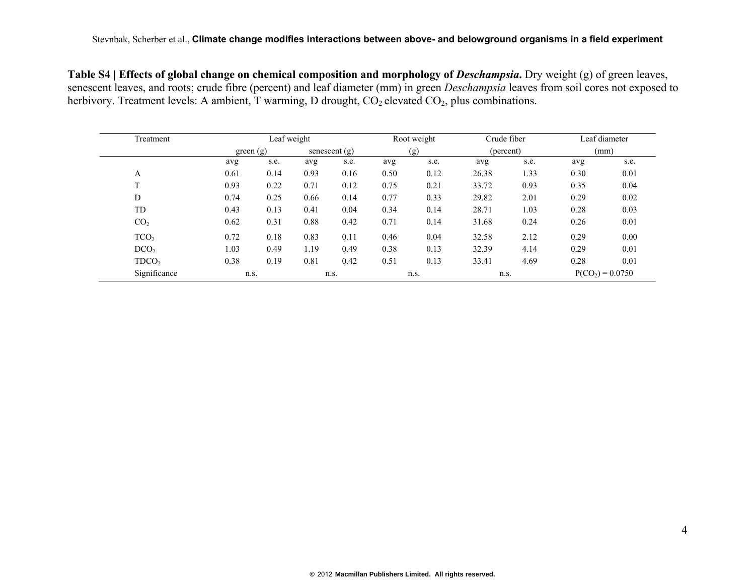**Table S4 | Effects of global change on chemical composition and morphology of** *Deschampsia***.** Dry weight (g) of green leaves, senescent leaves, and roots; crude fibre (percent) and leaf diameter (mm) in green *Deschampsia* leaves from soil cores not exposed to herbivory. Treatment levels: A ambient, T warming, D drought,  $CO<sub>2</sub>$  elevated  $CO<sub>2</sub>$ , plus combinations.

| Treatment         |      | Leaf weight                 |      |      |      | Root weight | Crude fiber |      |      | Leaf diameter     |  |
|-------------------|------|-----------------------------|------|------|------|-------------|-------------|------|------|-------------------|--|
|                   |      | senescent $(g)$<br>green(g) |      |      |      | (g)         | (percent)   |      | (mm) |                   |  |
|                   | avg  | s.e.                        | avg  | s.e. | avg  | s.e.        | avg         | s.e. | avg  | s.e.              |  |
| A                 | 0.61 | 0.14                        | 0.93 | 0.16 | 0.50 | 0.12        | 26.38       | 1.33 | 0.30 | 0.01              |  |
| m,                | 0.93 | 0.22                        | 0.71 | 0.12 | 0.75 | 0.21        | 33.72       | 0.93 | 0.35 | 0.04              |  |
| D                 | 0.74 | 0.25                        | 0.66 | 0.14 | 0.77 | 0.33        | 29.82       | 2.01 | 0.29 | 0.02              |  |
| TD                | 0.43 | 0.13                        | 0.41 | 0.04 | 0.34 | 0.14        | 28.71       | 1.03 | 0.28 | 0.03              |  |
| CO <sub>2</sub>   | 0.62 | 0.31                        | 0.88 | 0.42 | 0.71 | 0.14        | 31.68       | 0.24 | 0.26 | 0.01              |  |
| TCO <sub>2</sub>  | 0.72 | 0.18                        | 0.83 | 0.11 | 0.46 | 0.04        | 32.58       | 2.12 | 0.29 | 0.00              |  |
| DCO <sub>2</sub>  | 1.03 | 0.49                        | 1.19 | 0.49 | 0.38 | 0.13        | 32.39       | 4.14 | 0.29 | 0.01              |  |
| TDCO <sub>2</sub> | 0.38 | 0.19                        | 0.81 | 0.42 | 0.51 | 0.13        | 33.41       | 4.69 | 0.28 | 0.01              |  |
| Significance      | n.s. |                             |      | n.s. |      | n.s.        | n.s.        |      |      | $P(CO2) = 0.0750$ |  |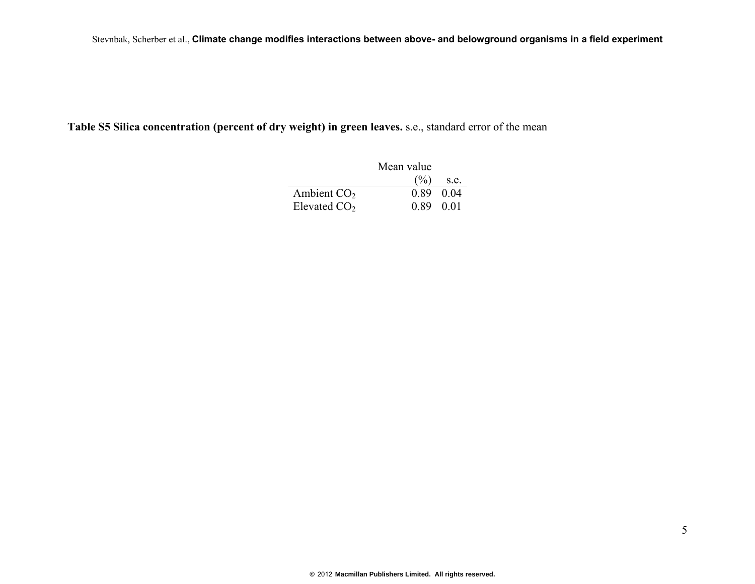## **Table S5 Silica concentration (percent of dry weight) in green leaves.** s.e., standard error of the mean

|                | Mean value |      |
|----------------|------------|------|
|                | (% )       | s.e. |
| Ambient $CO2$  | 0.89 0.04  |      |
| Elevated $CO2$ | 0.89 0.01  |      |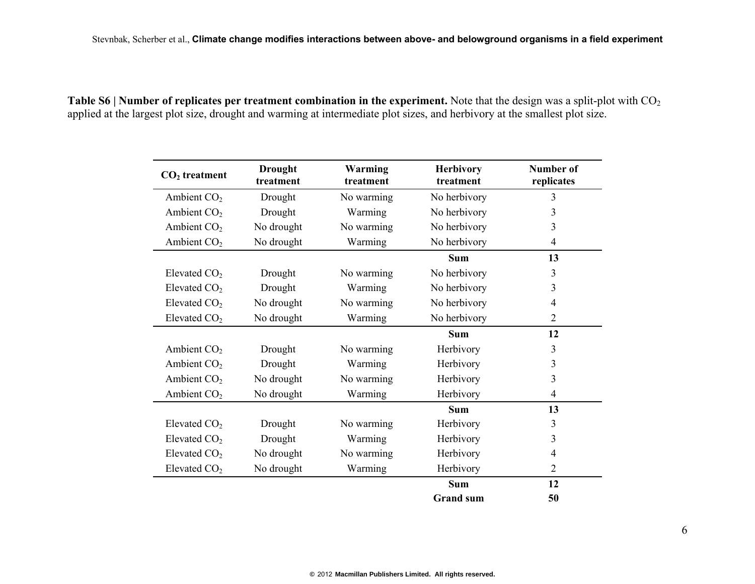**Table S6 | Number of replicates per treatment combination in the experiment.** Note that the design was a split-plot with CO<sub>2</sub> applied at the largest plot size, drought and warming at intermediate plot sizes, and herbivory at the smallest plot size.

| $CO2$ treatment          | <b>Drought</b><br>treatment | <b>Warming</b><br>treatment | <b>Herbivory</b><br>treatment | <b>Number of</b><br>replicates |
|--------------------------|-----------------------------|-----------------------------|-------------------------------|--------------------------------|
| Ambient $CO2$            | Drought                     | No warming                  | No herbivory                  | 3                              |
| Ambient $CO2$            | Drought                     | Warming                     | No herbivory                  | 3                              |
| Ambient $CO2$            | No drought                  | No warming                  | No herbivory                  | 3                              |
| Ambient $CO2$            | No drought                  | Warming                     | No herbivory                  | $\overline{4}$                 |
|                          |                             |                             | <b>Sum</b>                    | 13                             |
| Elevated $CO2$           | Drought                     | No warming                  | No herbivory                  | 3                              |
| Elevated CO <sub>2</sub> | Drought                     | Warming                     | No herbivory                  | 3                              |
| Elevated $CO2$           | No drought                  | No warming                  | No herbivory                  | $\overline{4}$                 |
| Elevated $CO2$           | No drought                  | Warming                     | No herbivory                  | $\overline{2}$                 |
|                          |                             |                             | <b>Sum</b>                    | 12                             |
| Ambient $CO2$            | Drought                     | No warming                  | Herbivory                     | 3                              |
| Ambient $CO2$            | Drought                     | Warming                     | Herbivory                     | 3                              |
| Ambient $CO2$            | No drought                  | No warming                  | Herbivory                     | 3                              |
| Ambient $CO2$            | No drought                  | Warming                     | Herbivory                     | 4                              |
|                          |                             |                             | <b>Sum</b>                    | 13                             |
| Elevated $CO2$           | Drought                     | No warming                  | Herbivory                     | 3                              |
| Elevated $CO2$           | Drought                     | Warming                     | Herbivory                     | 3                              |
| Elevated $CO2$           | No drought                  | No warming                  | Herbivory                     | 4                              |
| Elevated $CO2$           | No drought                  | Warming                     | Herbivory                     | $\overline{2}$                 |
|                          |                             |                             | <b>Sum</b>                    | 12                             |
|                          |                             |                             | <b>Grand</b> sum              | 50                             |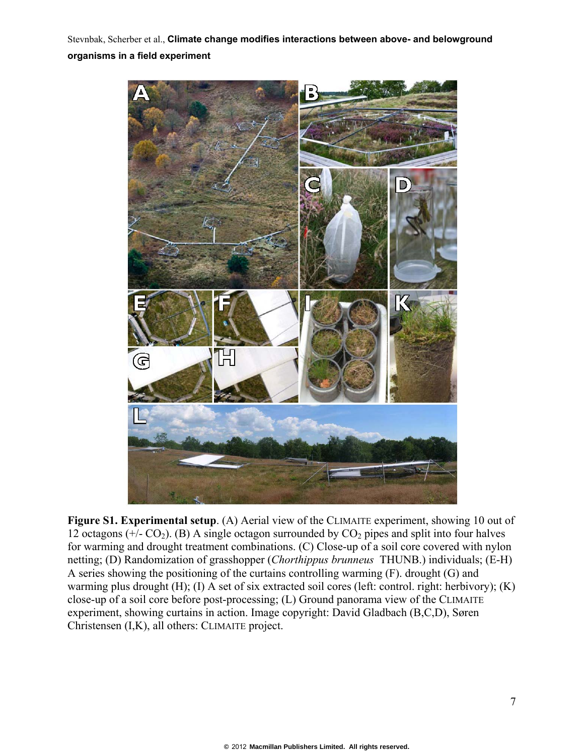

**Figure S1. Experimental setup**. (A) Aerial view of the CLIMAITE experiment, showing 10 out of 12 octagons ( $+/-$  CO<sub>2</sub>). (B) A single octagon surrounded by CO<sub>2</sub> pipes and split into four halves for warming and drought treatment combinations. (C) Close-up of a soil core covered with nylon netting; (D) Randomization of grasshopper (*Chorthippus brunneus* THUNB.) individuals; (E-H) A series showing the positioning of the curtains controlling warming (F). drought (G) and warming plus drought (H); (I) A set of six extracted soil cores (left: control. right: herbivory); (K) close-up of a soil core before post-processing; (L) Ground panorama view of the CLIMAITE experiment, showing curtains in action. Image copyright: David Gladbach (B,C,D), Søren Christensen (I,K), all others: CLIMAITE project.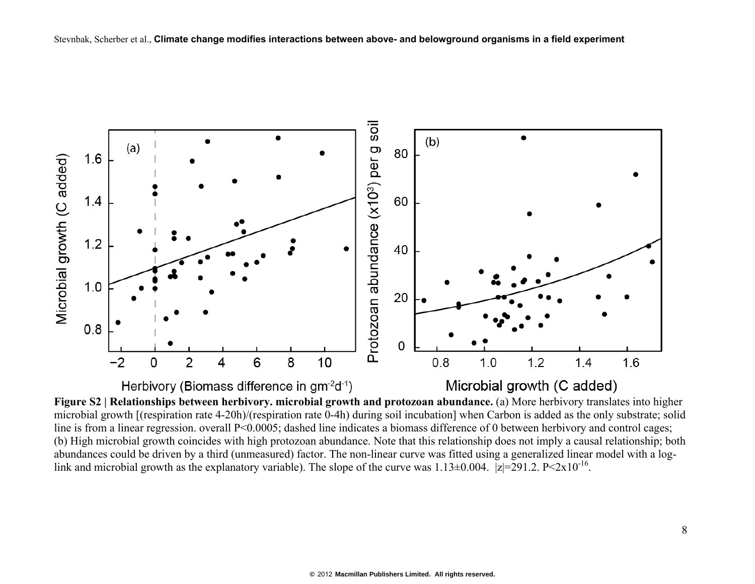

Herbivory (Biomass difference in gm<sup>-2</sup>d<sup>-1</sup>)

Microbial growth (C added)

**Figure S2 | Relationships between herbivory. microbial growth and protozoan abundance.** (a) More herbivory translates into higher microbial growth [(respiration rate 4-20h)/(respiration rate 0-4h) during soil incubation] when Carbon is added as the only substrate; solid line is from a linear regression. overall P<0.0005; dashed line indicates a biomass difference of 0 between herbivory and control cages; (b) High microbial growth coincides with high protozoan abundance. Note that this relationship does not imply a causal relationship; both abundances could be driven by a third (unmeasured) factor. The non-linear curve was fitted using a generalized linear model with a loglink and microbial growth as the explanatory variable). The slope of the curve was  $1.13\pm0.004$ .  $|z|=291.2$ . P<2x10<sup>-16</sup>.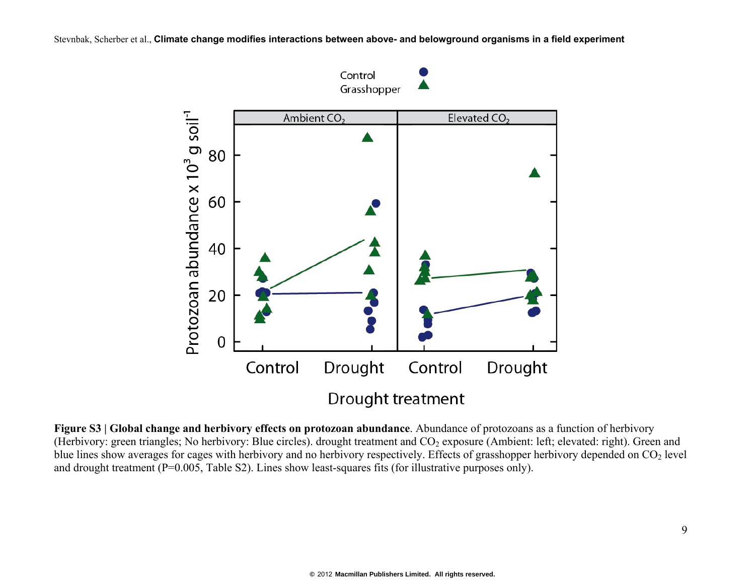

**Figure S3 | Global change and herbivory effects on protozoan abundance**. Abundance of protozoans as a function of herbivory (Herbivory: green triangles; No herbivory: Blue circles). drought treatment and  $CO<sub>2</sub>$  exposure (Ambient: left; elevated: right). Green and blue lines show averages for cages with herbivory and no herbivory respectively. Effects of grasshopper herbivory depended on  $CO<sub>2</sub>$  level and drought treatment (P=0.005, Table S2). Lines show least-squares fits (for illustrative purposes only).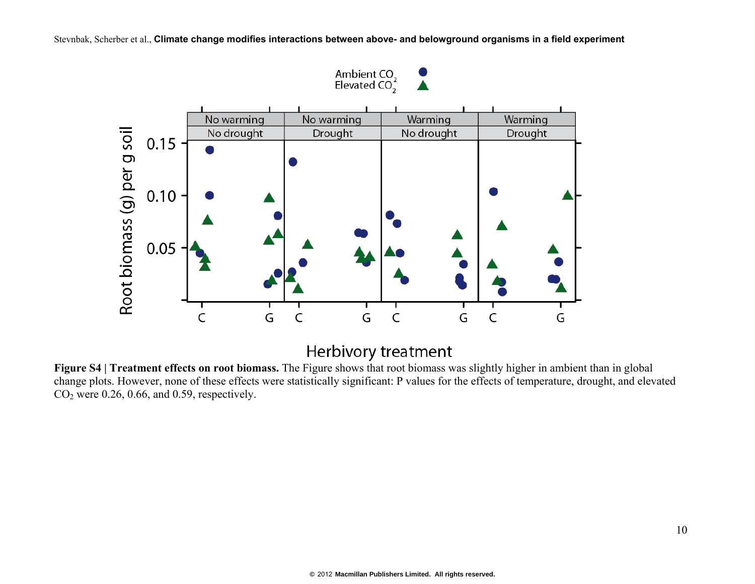

## Herbivory treatment

**Figure S4 | Treatment effects on root biomass.** The Figure shows that root biomass was slightly higher in ambient than in global change plots. However, none of these effects were statistically significant: P values for the effects of temperature, drought, and elevated  $CO<sub>2</sub>$  were 0.26, 0.66, and 0.59, respectively.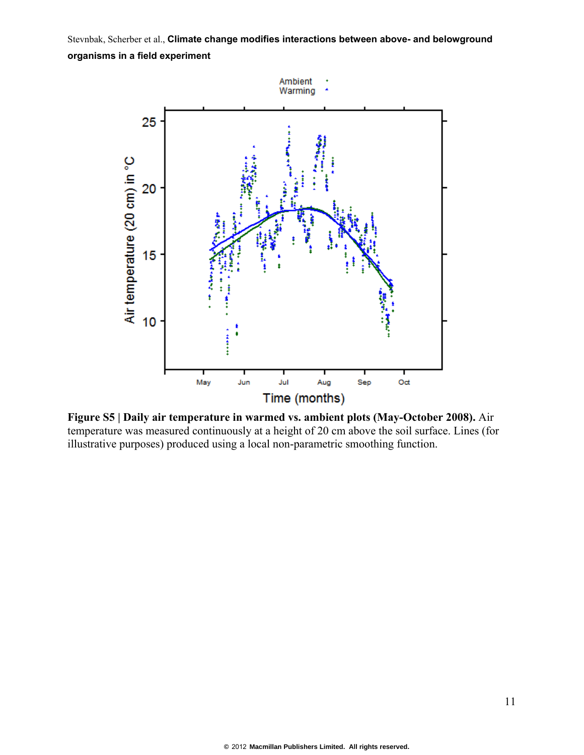

**Figure S5 | Daily air temperature in warmed vs. ambient plots (May-October 2008).** Air temperature was measured continuously at a height of 20 cm above the soil surface. Lines (for illustrative purposes) produced using a local non-parametric smoothing function.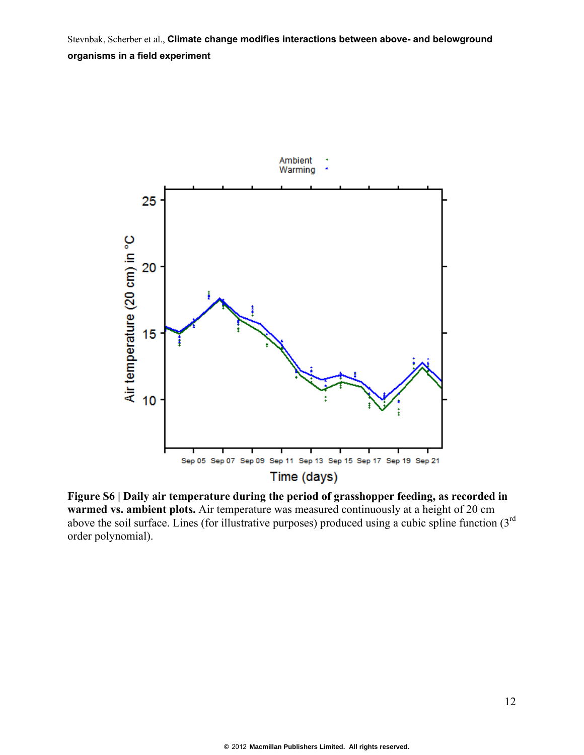

**Figure S6 | Daily air temperature during the period of grasshopper feeding, as recorded in warmed vs. ambient plots.** Air temperature was measured continuously at a height of 20 cm above the soil surface. Lines (for illustrative purposes) produced using a cubic spline function (3rd order polynomial).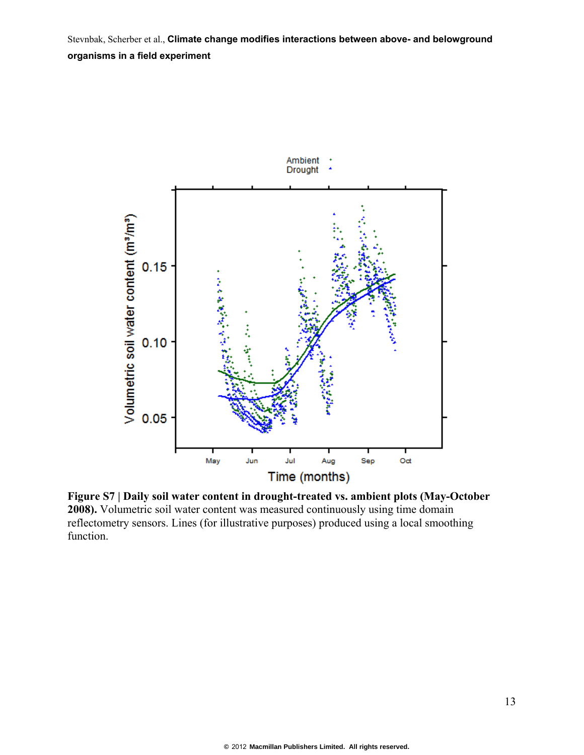

**Figure S7 | Daily soil water content in drought-treated vs. ambient plots (May-October 2008).** Volumetric soil water content was measured continuously using time domain reflectometry sensors. Lines (for illustrative purposes) produced using a local smoothing function.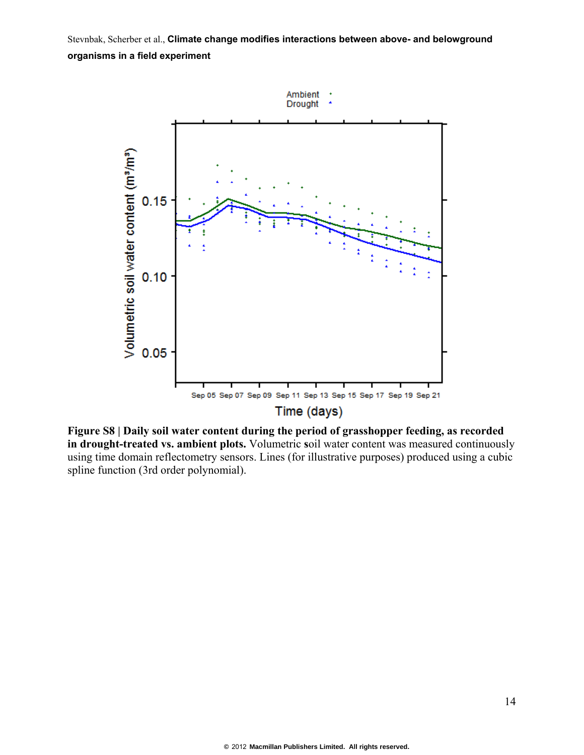

**Figure S8 | Daily soil water content during the period of grasshopper feeding, as recorded in drought-treated vs. ambient plots.** Volumetric **s**oil water content was measured continuously using time domain reflectometry sensors. Lines (for illustrative purposes) produced using a cubic spline function (3rd order polynomial).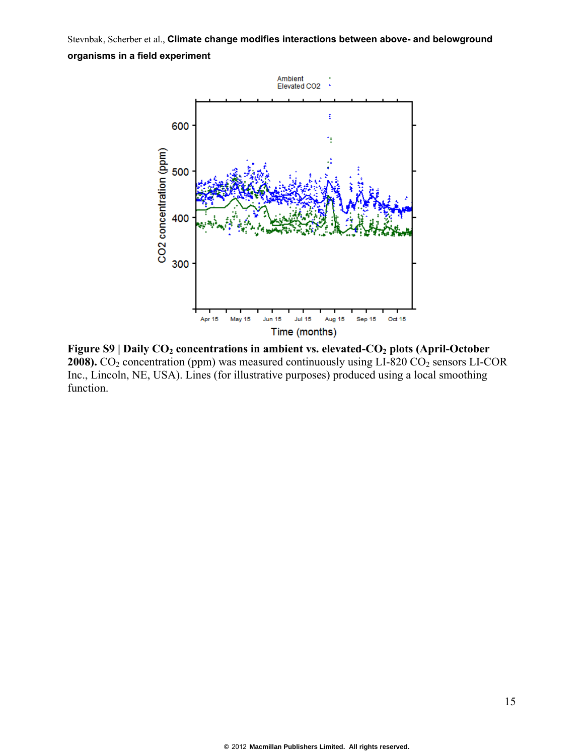

Figure S9 | Daily CO<sub>2</sub> concentrations in ambient vs. elevated-CO<sub>2</sub> plots (April-October 2008). CO<sub>2</sub> concentration (ppm) was measured continuously using LI-820 CO<sub>2</sub> sensors LI-COR Inc., Lincoln, NE, USA). Lines (for illustrative purposes) produced using a local smoothing function.